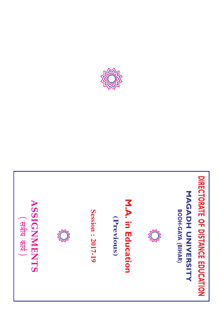



Session: 2017-19 **Session : 2017-19**

(Previous) **(Previous)**

M.A. in Education **M.A. in Education**



**DIRECTORATE OF DISTANCE EDUCATION**

DIRECTORATE OF DISTANCE EDUCATION

**MAGADH UNIVERSITY**

**MAGADH UNIVERSITY** 

**BODH-GAYA (BIHAR)**

BODH-GAYA (BIHAR)

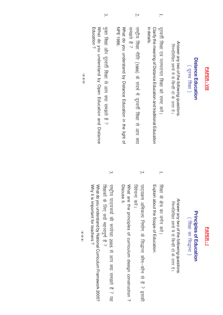| दूरस्थ शिक्षा | Distance Education | <b>APER-VII</b> |
|---------------|--------------------|-----------------|
|               |                    |                 |

- 
- 

**Distance Education**<br>
Answer any two of the following questions.<br>
( বুংবৰ্নী (ষীম্বা एंच परम्परागत शिक्षा को स्कन्हाँ दो के उत्तर दो।<br>
Clarify the meaning of Distance Education and traditional Education<br>
in details.<br>
in

### PAPER-I **PAPER - I**

## **Principles of Education Principles of Education**

( शिक्षा का सिद्धान्त) (शिक्षा का सिद्धान्त)

Answer any two of the following questions Answer any two of the following questions. निम्नलिखित प्रश्नों में से किन्हीं दो के उत्तर दें। निम्नलिखित प्रश्नों में से किन्हीं दो के उत्तर दें ।

Explain about the Scope of Education. शिक्षा के क्षेत्र का वर्णन करें। शिक्षा के क्षेत्र का वर्णन करें। Explain about the Scope of Education.

1.

2. विवेचना करे। पाठ्यक्रम अभिकल्प निर्माण के सिद्धान्त कौन–कौन से हैं ? इसकी विवेचना करें। पाद्यक्रम अभिकल्प निर्माण के सिद्धान्त कौन–कौन से हैं ? इसकी

Discuss it. Discuss it. What are the principles of curriculum design construction? What are the principles of curriculum design construction ?

3. शिक्षकों के लिए क्यों महत्त्वपूर्ण <del>हैं</del> ? राष्ट्रीय पाठ्यचर्या की रूपरेखा 2005 से आप क्या समझते हैं ? यह शिक्षकों के लिए क्यों महत्त्वपूर्ण हैं ? राष्ट्रीय पाठ्यचर्या की रूपरेखा 2005 से आप क्या समझते हैं ? यह

Why it is important for teachers? Why it is important for teachers ? What do you understand by National Curriculum Framework 2005? What do you understand by National Curriculum Framework 2005?

 $-X-X-X$ --x-x-x-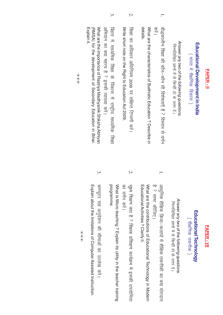| Answer any two of the following questions<br><b>Educational Development in India</b><br>( भारत में शैक्षणिक विकास )<br><b>PAPER-II</b>                        |    | Answer any two of the following questions.<br>Educational Technology<br>शैक्षणिक तकनीक)<br><b>PAPER-VII</b>                                                                                      |
|---------------------------------------------------------------------------------------------------------------------------------------------------------------|----|--------------------------------------------------------------------------------------------------------------------------------------------------------------------------------------------------|
| निम्नलिखित प्रश्नों में से किन्हीं दो के उत्तर दें।                                                                                                           |    | निम्नलिखित प्रश्नों में से किन्हीं दो के उत्तर दें।                                                                                                                                              |
| details.<br>Notat are the characteristics of Budhistic Education . Describe in<br>्य<br>ज<br>बौद्धकालीन शिक्षा की कौन–कौन सी विशेषताएँ हैं ? विस्तार से वर्णन |    | अध्निक शैक्षिक क्रिया–कलापों में शैक्षिक तकनीकी का क्या योगदान<br>है ? स्पष्ट कीजिए।<br>Notat are the contributions of molocational Hechnology in Modern<br>Educational Activities ? Clarity it. |
| Ņ.<br>Nextrice short rote or the Right to Education Act 2009<br>शिक्षा का अधिकार अधिनियम 2009 पर संक्षिप्त टिप्पणी करें।                                      | Z. | का वर्णन करें।<br>सूक्ष्म शिक्षण क्या है ? शिक्षक प्रशिक्षण कार्यक्रम में इसकी उपयोगिता                                                                                                          |
| अभियान का क्या महत्त्व है ? इसकी व्याख्या करें।<br>बिहार में माध्यमिक शिक्षा के विकास में राष्ट्रीय माध्यमिक शिक्षा                                           |    | programme.<br>Syratic Micro-teaching .> Inxplain its utility in the teacher training                                                                                                             |
| What are the importance of Rastriya Madhyamik Shiksha Abhiyan<br>Explain it<br>(RMSA) for the development of Secondary Education in Bihar.                    |    | Explain about the limitations of Conputer Assisted Instruction.<br>कम्प्यूटर सह अनुदेशन की सीमाओं का उल्लेख करें।                                                                                |
| $-X-X-X$ -                                                                                                                                                    |    | $-X-X-X-$                                                                                                                                                                                        |

**PAPER - II**

**PAPER-II**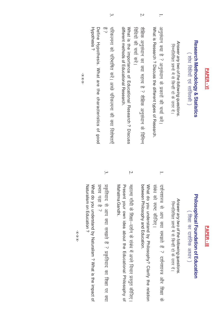| ۰                                                                                                                               |
|---------------------------------------------------------------------------------------------------------------------------------|
| <b>Service</b>                                                                                                                  |
|                                                                                                                                 |
| н.<br>٠                                                                                                                         |
|                                                                                                                                 |
|                                                                                                                                 |
| ٠                                                                                                                               |
| $\mathcal{L}^{\text{max}}_{\text{max}}$ and $\mathcal{L}^{\text{max}}_{\text{max}}$ and $\mathcal{L}^{\text{max}}_{\text{max}}$ |
|                                                                                                                                 |

# **Research Methodology & Statistics Research Methodology & Statistics**

( शोध विधियाँ एवं सांख्यिकी ) ( शोध विधियाँ एवं सांख्यिकी )

Answer any two of the following questions Answer any two of the following questions. निम्नलिखित प्रश्नों में से किन्हीं दो के उत्तर दें। निम्नलिखित प्रश्नों में से किन्हीं दो के उत्तर दें ।

- 1. अनुसंधान क्या है ? अनुसंधान के प्रकारों की चर्चा करें। What is Research ? Discuss the different types of Research. What is Research ? Discuss the different types of Research. अनुसंधान क्या है ? अनुसंधान के प्रकारों की चर्चा करें।
- 2. शैक्षिक अनुसंधान का क्या महत्त्व है ? शैक्षिक अनुसंधान के विभिन्न What is the importance of Educational Research? Discuss What is the importance of Educational Research विधियों की चर्चा करें। विधियों की चर्चा करें। शैक्षिक अनुसंधान का क्या महत्त्व है ? शैक्षिक अनुसंधान के विभिन्न ? Discuss

different methods of Educational Research. different methods of Educational Research.

परिकल्पना को परिभाषित करें। अच्छे परिकल्पना की क्या विशेषताएँ ak परिकल्पना को परिभाषित करें। अच्छे परिकल्पना की क्या विशेषताएँ ں-

3.

Hypothesis? Define Hypothesis. What are the characteristics of good Hypothesis Define Hypothesis. What are the characteristics of good

 $-X-X-X$ --x-x-x-

- **Philosophical Foundation of Education**<br> **Philosophical Foundation of Educations**<br>
(Ristra  $\frac{1}{10}$  and any two of the following questions.<br>
What do you understand by Philosophy? Clarify the relation<br>
Northand the you u
	-

 $-X-X-X$ --x-x-x-